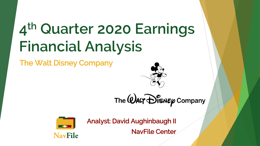# **4 th Quarter 2020 Earnings Financial Analysis**

The Walt Disney Company



The  $@$ ALT  $\bigoplus_{i=1}^{\infty}$  ompany



Analyst: David Aughinbaugh II

NavFile Center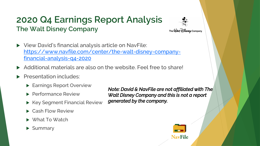#### **2020 Q4 Earnings Report Analysis The Walt Disney Company**



- View David's financial analysis article on NavFile: [https://www.navfile.com/center/the-walt-disney-company](https://www.navfile.com/center/the-walt-disney-company-financial-analysis-q4-2020)financial-analysis-q4-2020
- Additional materials are also on the website. Feel free to share!
- Presentation includes:
	- **Earnings Report Overview**
	- **Performance Review**
	- $\blacktriangleright$  Key Segment Financial Review
	- Cash Flow Review
	- ▶ What To Watch
	- $\blacktriangleright$  Summary

*Note: David & NavFile are not affiliated with The Walt Disney Company and this is not a report generated by the company.*

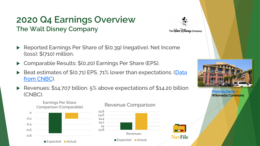#### **2020 Q4 Earnings Overview The Walt Disney Company**

The  $@$  ALT  $\bigoplus_{i=1}^n$  Gompany

**NavFile** 

- Reported Earnings Per Share of \$(0.39) (negative). Net Income (loss): \$(710) million.
- Comparable Results: \$(0.20) Earnings Per Share (EPS).
- Beat estimates of \$(0.71) EPS. 71% lower than expectations. (Data from CNBC).
- ▶ Revenues: \$14.707 billion. 5% above expectations of \$14.20 billion en die die staat van die verskilling van die verskilling van die verskilling van die verskilling van die verskil<br>Die verskilling van die verskilling van die verskilling van die verskilling van die verskilling van die versk



Earnings Per Share

#### Revenue Comparison





Wikimedia Commons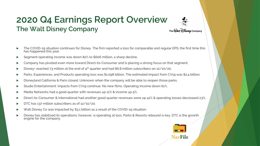#### **2020 Q4 Earnings Report Overview The Walt Disney Company** The  $\mathcal Q$ ALT Disney Company



#### The COVID-19 situation continues for Disney. The firm reported a loss for comparable and regular EPS, the first time this has happened this year.

- Segment operating income was down 82% to \$606 million, a sharp decline.
- Company has pivoted even more toward Direct-to-Consumer and is placing a strong focus on that segment.
- Disney+ reached 73 million at the end of 4<sup>th</sup> quarter and had 86.8 million subscribers on 12/10/20.
- Parks, Experiences, and Products operating loss was \$1.098 billion. The estimated impact from CV19 was \$2.4 billion.
- Disneyland California & Paris closed. Unknown when the company will be able to reopen those parks.
- Studio Entertainment: impacts from CV19 continue. No new films. Operating Income down 61%.
- Media Networks had a good quarter with revenues up 11% & income up 5%.
- Direct-to-Consumer & International had another good quarter revenues were up 41% & operating losses decreased 23%..
- DTC has 137 million subscribers as of 12/10/20.
- Walt Disney Co was impacted by \$3.1 billion as a result of the COVID-19 situation.
- Disney has stabilized its operations; however, is operating at loss. Parks & Resorts rebound is key. DTC is the growth engine for the company.

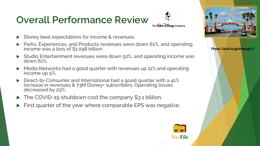# **Overall Performance Review**



**NavFile** 

- Disney beat expectations for income & revenues.
- Parks, Experiences, and Products revenues were down 61%, and operating income was a loss of \$1.098 billion.
- Studio Entertainment revenues were down 52%, and operating income was down 61%.
- $\blacktriangleright$  Media Networks had a good quarter with revenues up 11% and operating income up 5%.
- Direct-to-Consumer and International had a good quarter with a 41% increase in revenues & 73M Disney+ subscribers. Operating losses decreased by 23%.
- ▶ The COVID-19 shutdown cost the company \$3.1 billion.
- First quarter of the year where comparable EPS was negative.

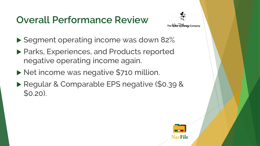## **Overall Performance Review**



- Segment operating income was down 82%
- ▶ Parks, Experiences, and Products reported negative operating income again.
- Net income was negative \$710 million.
- Regular & Comparable EPS negative (\$0.39 & \$0.20).

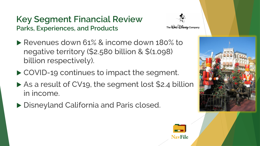#### **Key Segment Financial Review Parks, Experiences, and Products**



- Revenues down 61% & income down 180% to negative territory (\$2.580 billion & \$(1.098) billion respectively).
- ▶ COVID-19 continues to impact the segment.
- ▶ As a result of CV19, the segment lost \$2.4 billion in income.
- ▶ Disneyland California and Paris closed.



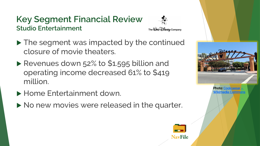#### **Key Segment Financial Review Studio Entertainment**



**NavFile** 

- ▶ The segment was impacted by the continued closure of movie theaters.
- Revenues down 52% to \$1.595 billion and operating income decreased 61% to \$419 million.
- **Home Entertainment down.**
- No new movies were released in the quarter.

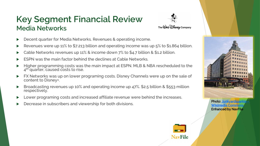#### **Key Segment Financial Review Media Networks**



- Decent quarter for Media Networks. Revenues & operating income.
- Revenues were up 11% to \$7.213 billion and operating income was up 5% to \$1.864 billion.
- Cable Networks revenues up 11% & income down 7% to \$4.7 billion & \$1.2 billion.
- ESPN was the main factor behind the declines at Cable Networks.
- Higher programming costs was the main impact at ESPN. MLB & NBA rescheduled to the 4<sup>th</sup> quarter, caused costs to rise.
- FX Networks was up on lower programing costs. Disney Channels were up on the sale of content to Disney+.
- Broadcasting revenues up 10% and operating income up 47%. \$2.5 billion & \$553 million respectively.
- Lower programing costs and increased affiliate revenue were behind the increases.
- Decrease in subscribers and viewership for both divisions.<br>Wikimedia Comm





**Wikimedia Comm** Enhanced by NavFile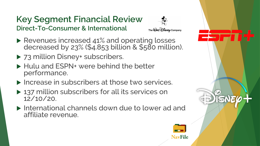#### **Key Segment Financial Review Direct-To-Consumer & International**



**NavFile** 

- Revenues increased 41% and operating losses decreased by 23% (\$4.853 billion & \$580 million).
- ▶ 73 million Disney+ subscribers.
- ▶ Hulu and ESPN+ were behind the better performance.
- $\blacktriangleright$  Increase in subscribers at those two services.
- ▶ 137 million subscribers for all its services on 12/10/20.
- International channels down due to lower ad and affiliate revenue.

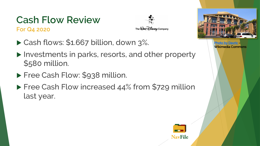#### **Cash Flow Review For Q4 2020**

The  $\mathcal Q$ ALT  $\mathcal D$  is  $\mathcal K\varphi$  Company

- ▶ Cash flows: \$1.667 billion, down 3%.
- ▶ Investments in parks, resorts, and other property \$580 million.
- **Free Cash Flow: \$938 million.**
- ▶ Free Cash Flow increased 44% from \$729 million last year.





[Photo by Davric](https://commons.wikimedia.org/wiki/File:The_Walt_Disney_Company_office.jpg) – Wikimedia Commons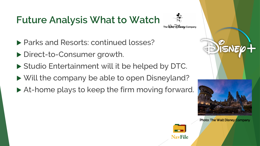### **Future Analysis What to Watch**

- ▶ Parks and Resorts: continued losses?
- ▶ Direct-to-Consumer growth.
- ▶ Studio Entertainment will it be helped by DTC.
- ▶ Will the company be able to open Disneyland?
- ▶ At-home plays to keep the firm moving forward.



The  $\mathcal Q$ ALT Disney Company



Photo: The Walt Disney Company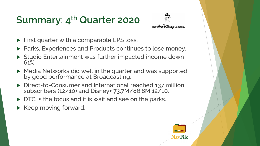## **Summary: 4th Quarter 2020**



- First quarter with a comparable EPS loss.
- ▶ Parks, Experiences and Products continues to lose money.
- ▶ Studio Entertainment was further impacted income down 61%.
- ▶ Media Networks did well in the quarter and was supported by good performance at Broadcasting.
- ▶ Direct-to-Consumer and International reached 137 million subscribers (12/10) and Disney+ 73.7M/86.8M 12/10.
- DTC is the focus and it is wait and see on the parks.
- $\blacktriangleright$  Keep moving forward.

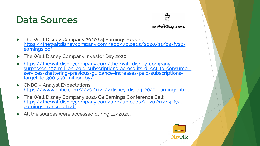#### **Data Sources**



- The Walt Disney Company 2020 Q4 Earnings Report: [https://thewaltdisneycompany.com/app/uploads/2020/11/q4-fy20](https://thewaltdisneycompany.com/app/uploads/2020/11/q4-fy20-earnings.pdf) earnings.pdf
- ▶ The Walt Disney Company Investor Day 2020:
- https://thewaltdisneycompany.com/the-walt-disney-company[surpasses-137-million-paid-subscriptions-across-its-direct-to-consumer](https://thewaltdisneycompany.com/the-walt-disney-company-surpasses-137-million-paid-subscriptions-across-its-direct-to-consumer-services-shattering-previous-guidance-increases-paid-subscriptions-target-to-300-350-million-by/)services-shattering-previous-guidance-increases-paid-subscriptionstarget-to-300-350-million-by/
- ▶ CNBC Analyst Expectations: <https://www.cnbc.com/2020/11/12/disney-dis-q4-2020-earnings.html>
- ▶ The Walt Disney Company 2020 Q4 Earnings Conference Call: [https://thewaltdisneycompany.com/app/uploads/2020/11/q4-fy20](https://thewaltdisneycompany.com/app/uploads/2020/11/q4-fy20-earnings-transcript.pdf) earnings-transcript.pdf
- All the sources were accessed during 12/2020.